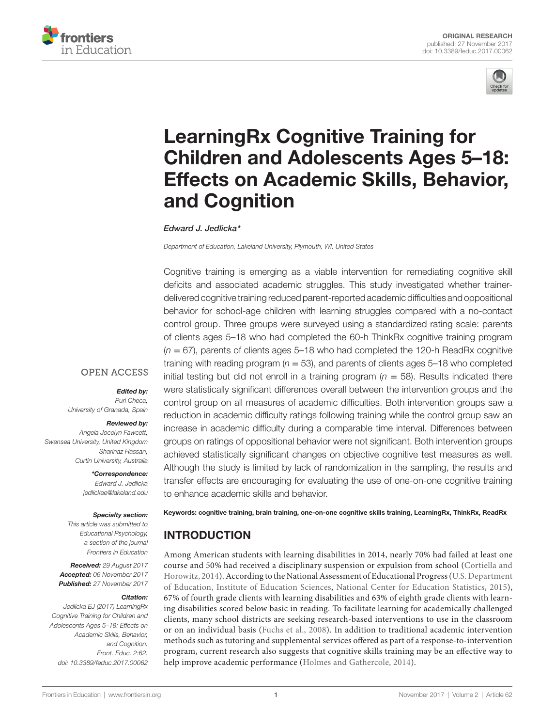



# [LearningRx Cognitive Training for](http://www.frontiersin.org/Journal/10.3389/feduc.2017.00062/full)  [Children and Adolescents Ages 5–18:](http://www.frontiersin.org/Journal/10.3389/feduc.2017.00062/full)  [Effects on Academic Skills, Behavior,](http://www.frontiersin.org/Journal/10.3389/feduc.2017.00062/full)  [and Cognition](http://www.frontiersin.org/Journal/10.3389/feduc.2017.00062/full)

#### *[Edward J. Jedlicka](http://loop.frontiersin.org/people/470235)\**

*Department of Education, Lakeland University, Plymouth, WI, United States*

Cognitive training is emerging as a viable intervention for remediating cognitive skill deficits and associated academic struggles. This study investigated whether trainerdelivered cognitive training reduced parent-reported academic difficulties and oppositional behavior for school-age children with learning struggles compared with a no-contact control group. Three groups were surveyed using a standardized rating scale: parents of clients ages 5–18 who had completed the 60-h ThinkRx cognitive training program (*n* = 67), parents of clients ages 5–18 who had completed the 120-h ReadRx cognitive training with reading program (*n* = 53), and parents of clients ages 5–18 who completed initial testing but did not enroll in a training program ( $n = 58$ ). Results indicated there were statistically significant differences overall between the intervention groups and the control group on all measures of academic difficulties. Both intervention groups saw a reduction in academic difficulty ratings following training while the control group saw an increase in academic difficulty during a comparable time interval. Differences between groups on ratings of oppositional behavior were not significant. Both intervention groups achieved statistically significant changes on objective cognitive test measures as well. Although the study is limited by lack of randomization in the sampling, the results and transfer effects are encouraging for evaluating the use of one-on-one cognitive training to enhance academic skills and behavior.

*Angela Jocelyn Fawcett, Swansea University, United Kingdom* 

*Sharinaz Hassan, Curtin University, Australia \*Correspondence:*

*University of Granada, Spain*

**OPEN ACCESS** 

*Edward J. Jedlicka [jedlickae@lakeland.edu](mailto:jedlickae@lakeland.edu)*

*Edited by: Puri Checa,* 

*Reviewed by:* 

#### *Specialty section:*

*This article was submitted to Educational Psychology, a section of the journal Frontiers in Education*

*Received: 29 August 2017 Accepted: 06 November 2017 Published: 27 November 2017*

#### *Citation:*

*Jedlicka EJ (2017) LearningRx Cognitive Training for Children and Adolescents Ages 5–18: Effects on Academic Skills, Behavior, and Cognition. Front. Educ. 2:62. doi: [10.3389/feduc.2017.00062](https://doi.org/10.3389/feduc.2017.00062)*

Keywords: cognitive training, brain training, one-on-one cognitive skills training, LearningRx, ThinkRx, ReadRx

# INTRODUCTION

Among American students with learning disabilities in 2014, nearly 70% had failed at least one course and 50% had received a disciplinary suspension or expulsion from school [\(Cortiella and](#page-11-0)  [Horowitz, 2014](#page-11-0)). According to the National Assessment of Educational Progress (U.S. Department of Education, Institute of Education Sciences, National Center for Education Statistics, [2015](#page-11-1)), 67% of fourth grade clients with learning disabilities and 63% of eighth grade clients with learning disabilities scored below basic in reading. To facilitate learning for academically challenged clients, many school districts are seeking research-based interventions to use in the classroom or on an individual basis ([Fuchs et al., 2008](#page-11-2)). In addition to traditional academic intervention methods such as tutoring and supplemental services offered as part of a response-to-intervention program, current research also suggests that cognitive skills training may be an effective way to help improve academic performance ([Holmes and Gathercole, 2014\)](#page-11-3).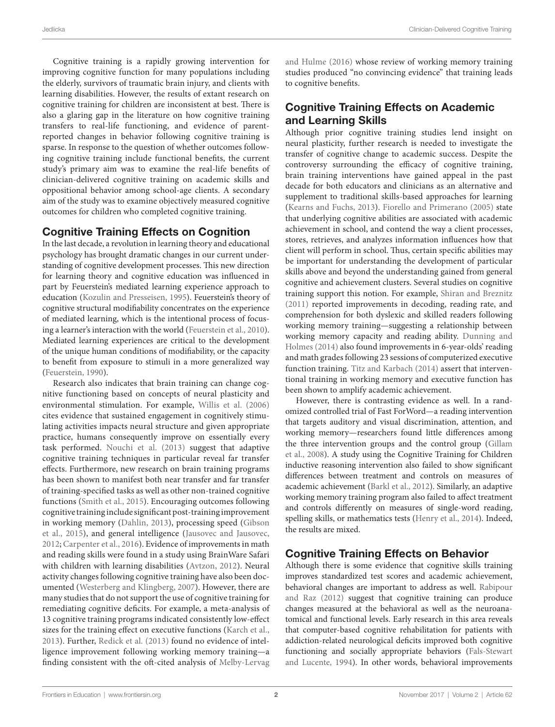Cognitive training is a rapidly growing intervention for improving cognitive function for many populations including the elderly, survivors of traumatic brain injury, and clients with learning disabilities. However, the results of extant research on cognitive training for children are inconsistent at best. There is also a glaring gap in the literature on how cognitive training transfers to real-life functioning, and evidence of parentreported changes in behavior following cognitive training is sparse. In response to the question of whether outcomes following cognitive training include functional benefits, the current study's primary aim was to examine the real-life benefits of clinician-delivered cognitive training on academic skills and oppositional behavior among school-age clients. A secondary aim of the study was to examine objectively measured cognitive outcomes for children who completed cognitive training.

## Cognitive Training Effects on Cognition

In the last decade, a revolution in learning theory and educational psychology has brought dramatic changes in our current understanding of cognitive development processes. This new direction for learning theory and cognitive education was influenced in part by Feuerstein's mediated learning experience approach to education ([Kozulin and Presseisen, 1995](#page-11-4)). Feuerstein's theory of cognitive structural modifiability concentrates on the experience of mediated learning, which is the intentional process of focusing a learner's interaction with the world [\(Feuerstein et al., 2010\)](#page-11-5). Mediated learning experiences are critical to the development of the unique human conditions of modifiability, or the capacity to benefit from exposure to stimuli in a more generalized way ([Feuerstein, 1990\)](#page-11-6).

Research also indicates that brain training can change cognitive functioning based on concepts of neural plasticity and environmental stimulation. For example, [Willis et al. \(2006\)](#page-12-0) cites evidence that sustained engagement in cognitively stimulating activities impacts neural structure and given appropriate practice, humans consequently improve on essentially every task performed. [Nouchi et al. \(2013\)](#page-11-7) suggest that adaptive cognitive training techniques in particular reveal far transfer effects. Furthermore, new research on brain training programs has been shown to manifest both near transfer and far transfer of training-specified tasks as well as other non-trained cognitive functions ([Smith et al., 2015](#page-11-8)). Encouraging outcomes following cognitive training include significant post-training improvement in working memory ([Dahlin, 2013\)](#page-11-9), processing speed [\(Gibson](#page-11-10) [et al., 2015](#page-11-10)), and general intelligence ([Jausovec and Jausovec,](#page-11-11) [2012;](#page-11-11) [Carpenter et al., 2016\)](#page-11-12). Evidence of improvements in math and reading skills were found in a study using BrainWare Safari with children with learning disabilities ([Avtzon, 2012](#page-10-0)). Neural activity changes following cognitive training have also been documented [\(Westerberg and Klingberg, 2007](#page-12-1)). However, there are many studies that do not support the use of cognitive training for remediating cognitive deficits. For example, a meta-analysis of 13 cognitive training programs indicated consistently low-effect sizes for the training effect on executive functions [\(Karch et al.,](#page-11-13) [2013\)](#page-11-13). Further, [Redick et al. \(2013\)](#page-11-14) found no evidence of intelligence improvement following working memory training—a finding consistent with the oft-cited analysis of [Melby-Lervag](#page-11-15) [and Hulme \(2016\)](#page-11-15) whose review of working memory training studies produced "no convincing evidence" that training leads to cognitive benefits.

# Cognitive Training Effects on Academic and Learning Skills

Although prior cognitive training studies lend insight on neural plasticity, further research is needed to investigate the transfer of cognitive change to academic success. Despite the controversy surrounding the efficacy of cognitive training, brain training interventions have gained appeal in the past decade for both educators and clinicians as an alternative and supplement to traditional skills-based approaches for learning [\(Kearns and Fuchs, 2013](#page-11-16)). [Fiorello and Primerano \(2005\)](#page-11-17) state that underlying cognitive abilities are associated with academic achievement in school, and contend the way a client processes, stores, retrieves, and analyzes information influences how that client will perform in school. Thus, certain specific abilities may be important for understanding the development of particular skills above and beyond the understanding gained from general cognitive and achievement clusters. Several studies on cognitive training support this notion. For example, [Shiran and Breznitz](#page-11-18)  [\(2011\)](#page-11-18) reported improvements in decoding, reading rate, and comprehension for both dyslexic and skilled readers following working memory training—suggesting a relationship between working memory capacity and reading ability. [Dunning and](#page-11-19)  [Holmes \(2014\)](#page-11-19) also found improvements in 6-year-olds' reading and math grades following 23 sessions of computerized executive function training. [Titz and Karbach \(2014\)](#page-11-20) assert that interventional training in working memory and executive function has been shown to amplify academic achievement.

However, there is contrasting evidence as well. In a randomized controlled trial of Fast ForWord—a reading intervention that targets auditory and visual discrimination, attention, and working memory—researchers found little differences among the three intervention groups and the control group ([Gillam](#page-11-21)  [et al., 2008\)](#page-11-21). A study using the Cognitive Training for Children inductive reasoning intervention also failed to show significant differences between treatment and controls on measures of academic achievement ([Barkl et al., 2012\)](#page-10-1). Similarly, an adaptive working memory training program also failed to affect treatment and controls differently on measures of single-word reading, spelling skills, or mathematics tests ([Henry et al., 2014](#page-11-22)). Indeed, the results are mixed.

# Cognitive Training Effects on Behavior

Although there is some evidence that cognitive skills training improves standardized test scores and academic achievement, behavioral changes are important to address as well. [Rabipour](#page-11-23)  [and Raz \(2012\)](#page-11-23) suggest that cognitive training can produce changes measured at the behavioral as well as the neuroanatomical and functional levels. Early research in this area reveals that computer-based cognitive rehabilitation for patients with addiction-related neurological deficits improved both cognitive functioning and socially appropriate behaviors [\(Fals-Stewart](#page-11-24)  [and Lucente, 1994\)](#page-11-24). In other words, behavioral improvements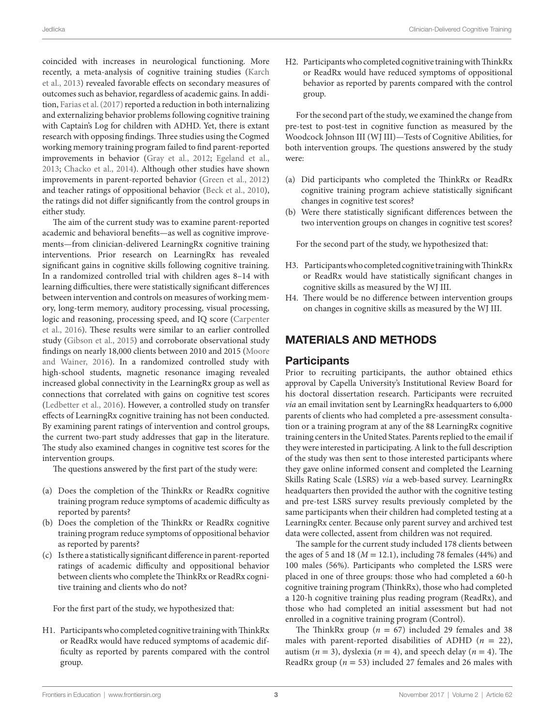coincided with increases in neurological functioning. More recently, a meta-analysis of cognitive training studies [\(Karch](#page-11-13) [et al., 2013](#page-11-13)) revealed favorable effects on secondary measures of outcomes such as behavior, regardless of academic gains. In addition, [Farias et al. \(2017\)](#page-11-25) reported a reduction in both internalizing and externalizing behavior problems following cognitive training with Captain's Log for children with ADHD. Yet, there is extant research with opposing findings. Three studies using the Cogmed working memory training program failed to find parent-reported improvements in behavior ([Gray et al., 2012](#page-11-26); [Egeland et al.,](#page-11-27) [2013;](#page-11-27) [Chacko et al., 2014](#page-11-28)). Although other studies have shown improvements in parent-reported behavior [\(Green et al., 2012\)](#page-11-29) and teacher ratings of oppositional behavior ([Beck et al., 2010\)](#page-10-2), the ratings did not differ significantly from the control groups in either study.

The aim of the current study was to examine parent-reported academic and behavioral benefits—as well as cognitive improvements—from clinician-delivered LearningRx cognitive training interventions. Prior research on LearningRx has revealed significant gains in cognitive skills following cognitive training. In a randomized controlled trial with children ages 8–14 with learning difficulties, there were statistically significant differences between intervention and controls on measures of working memory, long-term memory, auditory processing, visual processing, logic and reasoning, processing speed, and IQ score ([Carpenter](#page-11-12) [et al., 2016\)](#page-11-12). These results were similar to an earlier controlled study [\(Gibson et al., 2015\)](#page-11-10) and corroborate observational study findings on nearly 18,000 clients between 2010 and 2015 ([Moore](#page-11-30) [and Wainer, 2016\)](#page-11-30). In a randomized controlled study with high-school students, magnetic resonance imaging revealed increased global connectivity in the LearningRx group as well as connections that correlated with gains on cognitive test scores ([Ledbetter et al., 2016](#page-11-31)). However, a controlled study on transfer effects of LearningRx cognitive training has not been conducted. By examining parent ratings of intervention and control groups, the current two-part study addresses that gap in the literature. The study also examined changes in cognitive test scores for the intervention groups.

The questions answered by the first part of the study were:

- (a) Does the completion of the ThinkRx or ReadRx cognitive training program reduce symptoms of academic difficulty as reported by parents?
- (b) Does the completion of the ThinkRx or ReadRx cognitive training program reduce symptoms of oppositional behavior as reported by parents?
- (c) Is there a statistically significant difference in parent-reported ratings of academic difficulty and oppositional behavior between clients who complete the ThinkRx or ReadRx cognitive training and clients who do not?

For the first part of the study, we hypothesized that:

H1. Participants who completed cognitive training with ThinkRx or ReadRx would have reduced symptoms of academic difficulty as reported by parents compared with the control group.

H2. Participants who completed cognitive training with ThinkRx or ReadRx would have reduced symptoms of oppositional behavior as reported by parents compared with the control group.

For the second part of the study, we examined the change from pre-test to post-test in cognitive function as measured by the Woodcock Johnson III (WJ III)—Tests of Cognitive Abilities, for both intervention groups. The questions answered by the study were:

- (a) Did participants who completed the ThinkRx or ReadRx cognitive training program achieve statistically significant changes in cognitive test scores?
- (b) Were there statistically significant differences between the two intervention groups on changes in cognitive test scores?

For the second part of the study, we hypothesized that:

- H3. Participants who completed cognitive training with ThinkRx or ReadRx would have statistically significant changes in cognitive skills as measured by the WJ III.
- H4. There would be no difference between intervention groups on changes in cognitive skills as measured by the WJ III.

# MATERIALS AND METHODS

## **Participants**

Prior to recruiting participants, the author obtained ethics approval by Capella University's Institutional Review Board for his doctoral dissertation research. Participants were recruited *via* an email invitation sent by LearningRx headquarters to 6,000 parents of clients who had completed a pre-assessment consultation or a training program at any of the 88 LearningRx cognitive training centers in the United States. Parents replied to the email if they were interested in participating. A link to the full description of the study was then sent to those interested participants where they gave online informed consent and completed the Learning Skills Rating Scale (LSRS) *via* a web-based survey. LearningRx headquarters then provided the author with the cognitive testing and pre-test LSRS survey results previously completed by the same participants when their children had completed testing at a LearningRx center. Because only parent survey and archived test data were collected, assent from children was not required.

The sample for the current study included 178 clients between the ages of 5 and 18 ( $M = 12.1$ ), including 78 females (44%) and 100 males (56%). Participants who completed the LSRS were placed in one of three groups: those who had completed a 60-h cognitive training program (ThinkRx), those who had completed a 120-h cognitive training plus reading program (ReadRx), and those who had completed an initial assessment but had not enrolled in a cognitive training program (Control).

The ThinkRx group ( $n = 67$ ) included 29 females and 38 males with parent-reported disabilities of ADHD (*n* = 22), autism  $(n = 3)$ , dyslexia  $(n = 4)$ , and speech delay  $(n = 4)$ . The ReadRx group ( $n = 53$ ) included 27 females and 26 males with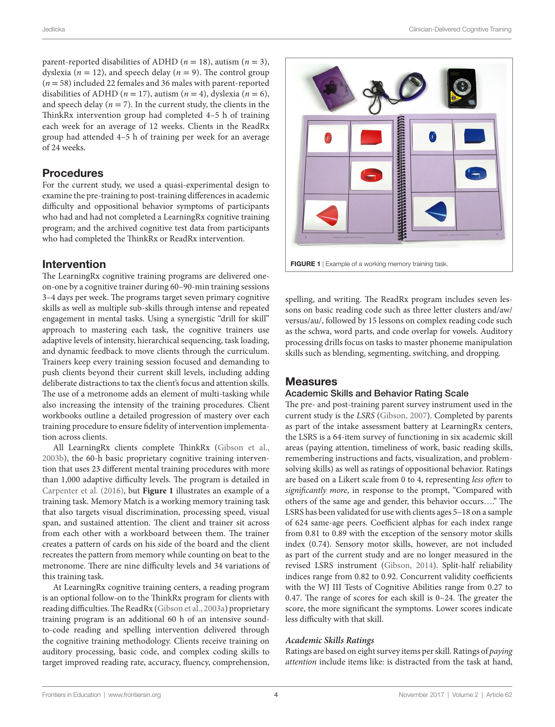parent-reported disabilities of ADHD ( $n = 18$ ), autism ( $n = 3$ ), dyslexia ( $n = 12$ ), and speech delay ( $n = 9$ ). The control group (*n* = 58) included 22 females and 36 males with parent-reported disabilities of ADHD ( $n = 17$ ), autism ( $n = 4$ ), dyslexia ( $n = 6$ ), and speech delay ( $n = 7$ ). In the current study, the clients in the ThinkRx intervention group had completed 4–5 h of training each week for an average of 12 weeks. Clients in the ReadRx group had attended 4–5 h of training per week for an average of 24 weeks.

## Procedures

For the current study, we used a quasi-experimental design to examine the pre-training to post-training differences in academic difficulty and oppositional behavior symptoms of participants who had and had not completed a LearningRx cognitive training program; and the archived cognitive test data from participants who had completed the ThinkRx or ReadRx intervention.

## Intervention

The LearningRx cognitive training programs are delivered oneon-one by a cognitive trainer during 60–90-min training sessions 3–4 days per week. The programs target seven primary cognitive skills as well as multiple sub-skills through intense and repeated engagement in mental tasks. Using a synergistic "drill for skill" approach to mastering each task, the cognitive trainers use adaptive levels of intensity, hierarchical sequencing, task loading, and dynamic feedback to move clients through the curriculum. Trainers keep every training session focused and demanding to push clients beyond their current skill levels, including adding deliberate distractions to tax the client's focus and attention skills. The use of a metronome adds an element of multi-tasking while also increasing the intensity of the training procedures. Client workbooks outline a detailed progression of mastery over each training procedure to ensure fidelity of intervention implementation across clients.

All LearningRx clients complete ThinkRx ([Gibson et al.,](#page-11-32) [2003b](#page-11-32)), the 60-h basic proprietary cognitive training intervention that uses 23 different mental training procedures with more than 1,000 adaptive difficulty levels. The program is detailed in [Carpenter et al. \(2016\),](#page-11-12) but **[Figure 1](#page-3-0)** illustrates an example of a training task. Memory Match is a working memory training task that also targets visual discrimination, processing speed, visual span, and sustained attention. The client and trainer sit across from each other with a workboard between them. The trainer creates a pattern of cards on his side of the board and the client recreates the pattern from memory while counting on beat to the metronome. There are nine difficulty levels and 34 variations of this training task.

At LearningRx cognitive training centers, a reading program is an optional follow-on to the ThinkRx program for clients with reading difficulties. The ReadRx ([Gibson et al., 2003a](#page-11-33)) proprietary training program is an additional 60 h of an intensive soundto-code reading and spelling intervention delivered through the cognitive training methodology. Clients receive training on auditory processing, basic code, and complex coding skills to target improved reading rate, accuracy, fluency, comprehension,



<span id="page-3-0"></span>FIGURE 1 | Example of a working memory training task.

spelling, and writing. The ReadRx program includes seven lessons on basic reading code such as three letter clusters and/aw/ versus/au/, followed by 15 lessons on complex reading code such as the schwa, word parts, and code overlap for vowels. Auditory processing drills focus on tasks to master phoneme manipulation skills such as blending, segmenting, switching, and dropping.

## Measures

#### Academic Skills and Behavior Rating Scale

The pre- and post-training parent survey instrument used in the current study is the *LSRS* ([Gibson, 2007](#page-11-34)). Completed by parents as part of the intake assessment battery at LearningRx centers, the LSRS is a 64-item survey of functioning in six academic skill areas (paying attention, timeliness of work, basic reading skills, remembering instructions and facts, visualization, and problemsolving skills) as well as ratings of oppositional behavior. Ratings are based on a Likert scale from 0 to 4, representing *less often* to *significantly more*, in response to the prompt, "Compared with others of the same age and gender, this behavior occurs…." The LSRS has been validated for use with clients ages 5–18 on a sample of 624 same-age peers. Coefficient alphas for each index range from 0.81 to 0.89 with the exception of the sensory motor skills index (0.74). Sensory motor skills, however, are not included as part of the current study and are no longer measured in the revised LSRS instrument [\(Gibson, 2014\)](#page-11-35). Split-half reliability indices range from 0.82 to 0.92. Concurrent validity coefficients with the WJ III Tests of Cognitive Abilities range from 0.27 to 0.47. The range of scores for each skill is 0–24. The greater the score, the more significant the symptoms. Lower scores indicate less difficulty with that skill.

## *Academic Skills Ratings*

Ratings are based on eight survey items per skill. Ratings of *paying attention* include items like: is distracted from the task at hand,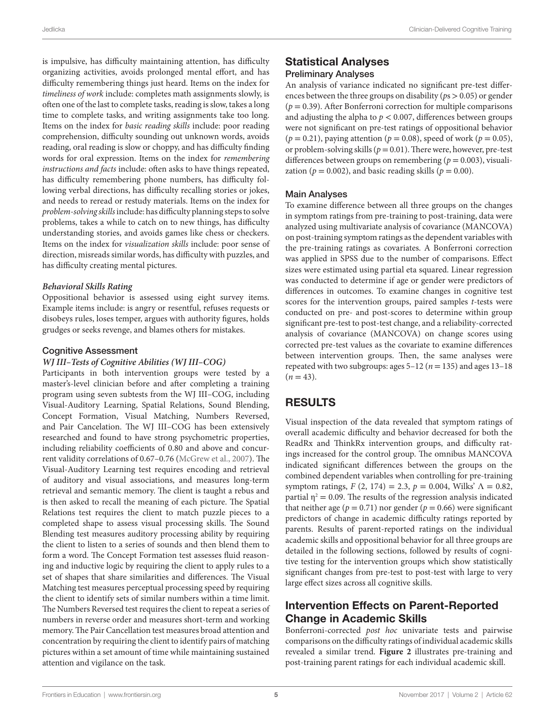is impulsive, has difficulty maintaining attention, has difficulty organizing activities, avoids prolonged mental effort, and has difficulty remembering things just heard. Items on the index for *timeliness of work* include: completes math assignments slowly, is often one of the last to complete tasks, reading is slow, takes a long time to complete tasks, and writing assignments take too long. Items on the index for *basic reading skills* include: poor reading comprehension, difficulty sounding out unknown words, avoids reading, oral reading is slow or choppy, and has difficulty finding words for oral expression. Items on the index for *remembering instructions and facts* include: often asks to have things repeated, has difficulty remembering phone numbers, has difficulty following verbal directions, has difficulty recalling stories or jokes, and needs to reread or restudy materials. Items on the index for *problem-solving skills* include: has difficulty planning steps to solve problems, takes a while to catch on to new things, has difficulty understanding stories, and avoids games like chess or checkers. Items on the index for *visualization skills* include: poor sense of direction, misreads similar words, has difficulty with puzzles, and has difficulty creating mental pictures.

#### *Behavioral Skills Rating*

Oppositional behavior is assessed using eight survey items. Example items include: is angry or resentful, refuses requests or disobeys rules, loses temper, argues with authority figures, holds grudges or seeks revenge, and blames others for mistakes.

#### Cognitive Assessment

#### *WJ III–Tests of Cognitive Abilities (WJ III–COG)*

Participants in both intervention groups were tested by a master's-level clinician before and after completing a training program using seven subtests from the WJ III–COG, including Visual-Auditory Learning, Spatial Relations, Sound Blending, Concept Formation, Visual Matching, Numbers Reversed, and Pair Cancelation. The WJ III–COG has been extensively researched and found to have strong psychometric properties, including reliability coefficients of 0.80 and above and concurrent validity correlations of 0.67–0.76 ([McGrew et al., 2007](#page-11-36)). The Visual-Auditory Learning test requires encoding and retrieval of auditory and visual associations, and measures long-term retrieval and semantic memory. The client is taught a rebus and is then asked to recall the meaning of each picture. The Spatial Relations test requires the client to match puzzle pieces to a completed shape to assess visual processing skills. The Sound Blending test measures auditory processing ability by requiring the client to listen to a series of sounds and then blend them to form a word. The Concept Formation test assesses fluid reasoning and inductive logic by requiring the client to apply rules to a set of shapes that share similarities and differences. The Visual Matching test measures perceptual processing speed by requiring the client to identify sets of similar numbers within a time limit. The Numbers Reversed test requires the client to repeat a series of numbers in reverse order and measures short-term and working memory. The Pair Cancellation test measures broad attention and concentration by requiring the client to identify pairs of matching pictures within a set amount of time while maintaining sustained attention and vigilance on the task.

## Statistical Analyses Preliminary Analyses

An analysis of variance indicated no significant pre-test differences between the three groups on disability (*p*s > 0.05) or gender  $(p = 0.39)$ . After Bonferroni correction for multiple comparisons and adjusting the alpha to  $p < 0.007$ , differences between groups were not significant on pre-test ratings of oppositional behavior  $(p = 0.21)$ , paying attention  $(p = 0.08)$ , speed of work  $(p = 0.05)$ , or problem-solving skills ( $p = 0.01$ ). There were, however, pre-test differences between groups on remembering ( $p = 0.003$ ), visualization ( $p = 0.002$ ), and basic reading skills ( $p = 0.00$ ).

#### Main Analyses

To examine difference between all three groups on the changes in symptom ratings from pre-training to post-training, data were analyzed using multivariate analysis of covariance (MANCOVA) on post-training symptom ratings as the dependent variables with the pre-training ratings as covariates. A Bonferroni correction was applied in SPSS due to the number of comparisons. Effect sizes were estimated using partial eta squared. Linear regression was conducted to determine if age or gender were predictors of differences in outcomes. To examine changes in cognitive test scores for the intervention groups, paired samples *t*-tests were conducted on pre- and post-scores to determine within group significant pre-test to post-test change, and a reliability-corrected analysis of covariance (MANCOVA) on change scores using corrected pre-test values as the covariate to examine differences between intervention groups. Then, the same analyses were repeated with two subgroups: ages  $5-12$  ( $n = 135$ ) and ages  $13-18$  $(n = 43)$ .

# RESULTS

Visual inspection of the data revealed that symptom ratings of overall academic difficulty and behavior decreased for both the ReadRx and ThinkRx intervention groups, and difficulty ratings increased for the control group. The omnibus MANCOVA indicated significant differences between the groups on the combined dependent variables when controlling for pre-training symptom ratings, *F* (2, 174) = 2.3, *p* = 0.004, Wilks' Λ = 0.82, partial  $\eta^2 = 0.09$ . The results of the regression analysis indicated that neither age ( $p = 0.71$ ) nor gender ( $p = 0.66$ ) were significant predictors of change in academic difficulty ratings reported by parents. Results of parent-reported ratings on the individual academic skills and oppositional behavior for all three groups are detailed in the following sections, followed by results of cognitive testing for the intervention groups which show statistically significant changes from pre-test to post-test with large to very large effect sizes across all cognitive skills.

# Intervention Effects on Parent-Reported Change in Academic Skills

Bonferroni-corrected *post hoc* univariate tests and pairwise comparisons on the difficulty ratings of individual academic skills revealed a similar trend. **[Figure 2](#page-5-0)** illustrates pre-training and post-training parent ratings for each individual academic skill.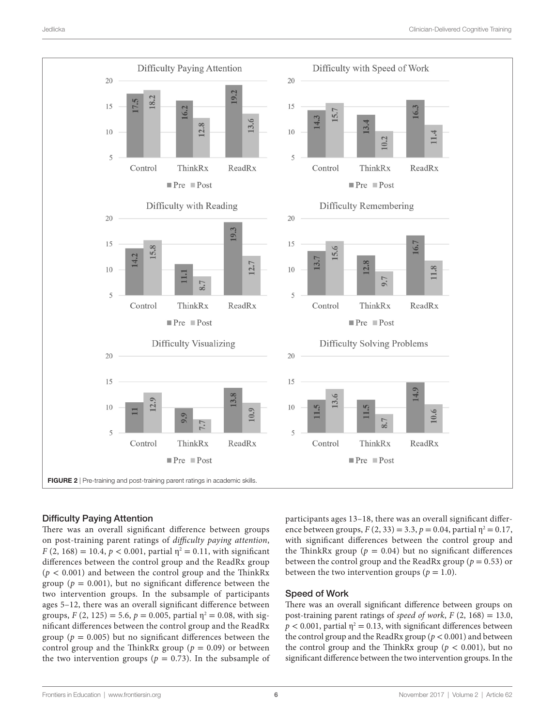

## <span id="page-5-0"></span>Difficulty Paying Attention

There was an overall significant difference between groups on post-training parent ratings of *difficulty paying attention*,  $F(2, 168) = 10.4, p < 0.001$ , partial  $\eta^2 = 0.11$ , with significant differences between the control group and the ReadRx group  $(p < 0.001)$  and between the control group and the ThinkRx group ( $p = 0.001$ ), but no significant difference between the two intervention groups. In the subsample of participants ages 5–12, there was an overall significant difference between groups,  $F(2, 125) = 5.6$ ,  $p = 0.005$ , partial  $\eta^2 = 0.08$ , with significant differences between the control group and the ReadRx group ( $p = 0.005$ ) but no significant differences between the control group and the ThinkRx group ( $p = 0.09$ ) or between the two intervention groups ( $p = 0.73$ ). In the subsample of participants ages 13–18, there was an overall significant difference between groups,  $F(2, 33) = 3.3$ ,  $p = 0.04$ , partial  $\eta^2 = 0.17$ , with significant differences between the control group and the ThinkRx group ( $p = 0.04$ ) but no significant differences between the control group and the ReadRx group ( $p = 0.53$ ) or between the two intervention groups ( $p = 1.0$ ).

## Speed of Work

There was an overall significant difference between groups on post-training parent ratings of *speed of work*,  $F(2, 168) = 13.0$ ,  $p < 0.001$ , partial  $\eta^2 = 0.13$ , with significant differences between the control group and the ReadRx group ( $p < 0.001$ ) and between the control group and the ThinkRx group ( $p < 0.001$ ), but no significant difference between the two intervention groups. In the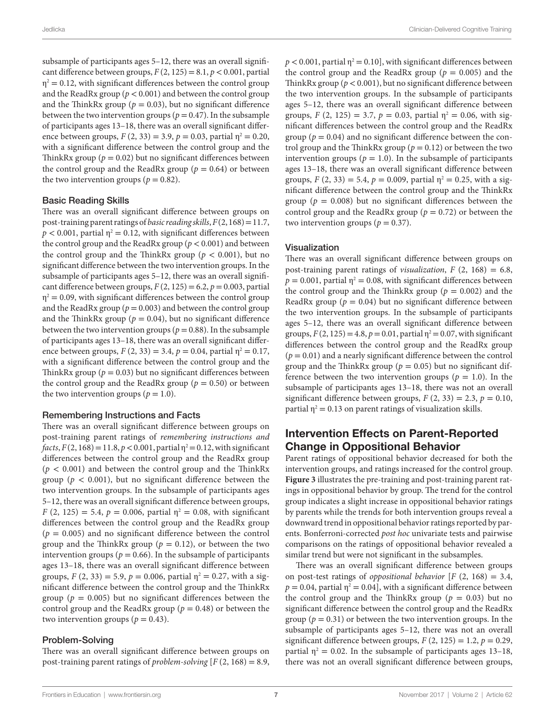subsample of participants ages 5–12, there was an overall significant difference between groups,  $F(2, 125) = 8.1$ ,  $p < 0.001$ , partial  $\eta^2$  = 0.12, with significant differences between the control group and the ReadRx group ( $p < 0.001$ ) and between the control group and the ThinkRx group ( $p = 0.03$ ), but no significant difference between the two intervention groups ( $p = 0.47$ ). In the subsample of participants ages 13–18, there was an overall significant difference between groups,  $F(2, 33) = 3.9$ ,  $p = 0.03$ , partial  $\eta^2 = 0.20$ , with a significant difference between the control group and the ThinkRx group ( $p = 0.02$ ) but no significant differences between the control group and the ReadRx group ( $p = 0.64$ ) or between the two intervention groups ( $p = 0.82$ ).

#### Basic Reading Skills

There was an overall significant difference between groups on post-training parent ratings of *basic reading skills*, *F* (2, 168) = 11.7,  $p < 0.001$ , partial  $\eta^2 = 0.12$ , with significant differences between the control group and the ReadRx group (*p* < 0.001) and between the control group and the ThinkRx group ( $p < 0.001$ ), but no significant difference between the two intervention groups. In the subsample of participants ages 5–12, there was an overall significant difference between groups,  $F(2, 125) = 6.2$ ,  $p = 0.003$ , partial  $\eta^2$  = 0.09, with significant differences between the control group and the ReadRx group ( $p = 0.003$ ) and between the control group and the ThinkRx group ( $p = 0.04$ ), but no significant difference between the two intervention groups ( $p = 0.88$ ). In the subsample of participants ages 13–18, there was an overall significant difference between groups,  $F(2, 33) = 3.4$ ,  $p = 0.04$ , partial  $\eta^2 = 0.17$ , with a significant difference between the control group and the ThinkRx group ( $p = 0.03$ ) but no significant differences between the control group and the ReadRx group ( $p = 0.50$ ) or between the two intervention groups ( $p = 1.0$ ).

## Remembering Instructions and Facts

There was an overall significant difference between groups on post-training parent ratings of *remembering instructions and*   $facts, F(2, 168) = 11.8, p < 0.001,$  partial  $\eta^2 = 0.12$ , with significant differences between the control group and the ReadRx group  $(p < 0.001)$  and between the control group and the ThinkRx group ( $p < 0.001$ ), but no significant difference between the two intervention groups. In the subsample of participants ages 5–12, there was an overall significant difference between groups, *F* (2, 125) = 5.4,  $p = 0.006$ , partial  $\eta^2 = 0.08$ , with significant differences between the control group and the ReadRx group  $(p = 0.005)$  and no significant difference between the control group and the ThinkRx group ( $p = 0.12$ ), or between the two intervention groups ( $p = 0.66$ ). In the subsample of participants ages 13–18, there was an overall significant difference between groups,  $F(2, 33) = 5.9$ ,  $p = 0.006$ , partial  $\eta^2 = 0.27$ , with a significant difference between the control group and the ThinkRx group ( $p = 0.005$ ) but no significant differences between the control group and the ReadRx group ( $p = 0.48$ ) or between the two intervention groups ( $p = 0.43$ ).

#### Problem-Solving

There was an overall significant difference between groups on post-training parent ratings of *problem-solving* [*F* (2, 168) = 8.9,  $p < 0.001$ , partial  $\eta^2 = 0.10$ , with significant differences between the control group and the ReadRx group ( $p = 0.005$ ) and the ThinkRx group ( $p < 0.001$ ), but no significant difference between the two intervention groups. In the subsample of participants ages 5–12, there was an overall significant difference between groups,  $F(2, 125) = 3.7$ ,  $p = 0.03$ , partial  $\eta^2 = 0.06$ , with significant differences between the control group and the ReadRx group ( $p = 0.04$ ) and no significant difference between the control group and the ThinkRx group ( $p = 0.12$ ) or between the two intervention groups ( $p = 1.0$ ). In the subsample of participants ages 13–18, there was an overall significant difference between groups,  $F(2, 33) = 5.4$ ,  $p = 0.009$ , partial  $\eta^2 = 0.25$ , with a significant difference between the control group and the ThinkRx group ( $p = 0.008$ ) but no significant differences between the control group and the ReadRx group ( $p = 0.72$ ) or between the two intervention groups ( $p = 0.37$ ).

#### Visualization

There was an overall significant difference between groups on post-training parent ratings of *visualization*, *F* (2, 168) = 6.8,  $p = 0.001$ , partial  $\eta^2 = 0.08$ , with significant differences between the control group and the ThinkRx group ( $p = 0.002$ ) and the ReadRx group ( $p = 0.04$ ) but no significant difference between the two intervention groups. In the subsample of participants ages 5–12, there was an overall significant difference between groups,  $F(2, 125) = 4.8$ ,  $p = 0.01$ , partial  $\eta^2 = 0.07$ , with significant differences between the control group and the ReadRx group  $(p = 0.01)$  and a nearly significant difference between the control group and the ThinkRx group ( $p = 0.05$ ) but no significant difference between the two intervention groups ( $p = 1.0$ ). In the subsample of participants ages 13–18, there was not an overall significant difference between groups,  $F(2, 33) = 2.3$ ,  $p = 0.10$ , partial  $\eta^2 = 0.13$  on parent ratings of visualization skills.

# Intervention Effects on Parent-Reported Change in Oppositional Behavior

Parent ratings of oppositional behavior decreased for both the intervention groups, and ratings increased for the control group. **[Figure 3](#page-7-0)** illustrates the pre-training and post-training parent ratings in oppositional behavior by group. The trend for the control group indicates a slight increase in oppositional behavior ratings by parents while the trends for both intervention groups reveal a downward trend in oppositional behavior ratings reported by parents. Bonferroni-corrected *post hoc* univariate tests and pairwise comparisons on the ratings of oppositional behavior revealed a similar trend but were not significant in the subsamples.

There was an overall significant difference between groups on post-test ratings of *oppositional behavior* [*F* (2, 168) = 3.4,  $p = 0.04$ , partial  $\eta^2 = 0.04$ , with a significant difference between the control group and the ThinkRx group ( $p = 0.03$ ) but no significant difference between the control group and the ReadRx group ( $p = 0.31$ ) or between the two intervention groups. In the subsample of participants ages 5–12, there was not an overall significant difference between groups,  $F(2, 125) = 1.2$ ,  $p = 0.29$ , partial  $\eta^2 = 0.02$ . In the subsample of participants ages 13–18, there was not an overall significant difference between groups,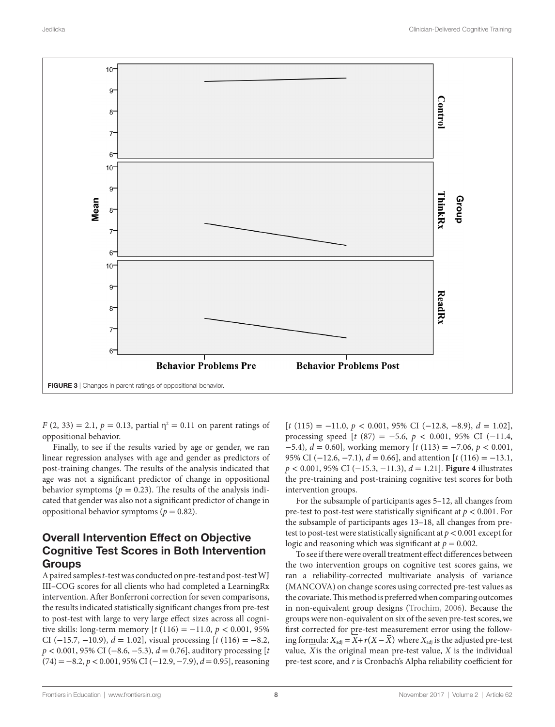

<span id="page-7-0"></span>*F* (2, 33) = 2.1,  $p = 0.13$ , partial  $\eta^2 = 0.11$  on parent ratings of oppositional behavior.

Finally, to see if the results varied by age or gender, we ran linear regression analyses with age and gender as predictors of post-training changes. The results of the analysis indicated that age was not a significant predictor of change in oppositional behavior symptoms ( $p = 0.23$ ). The results of the analysis indicated that gender was also not a significant predictor of change in oppositional behavior symptoms ( $p = 0.82$ ).

# Overall Intervention Effect on Objective Cognitive Test Scores in Both Intervention **Groups**

A paired samples *t*-test was conducted on pre-test and post-test WJ III–COG scores for all clients who had completed a LearningRx intervention. After Bonferroni correction for seven comparisons, the results indicated statistically significant changes from pre-test to post-test with large to very large effect sizes across all cognitive skills: long-term memory  $[t (116) = -11.0, p < 0.001, 95\%]$ CI (−15.7, −10.9), *d* = 1.02], visual processing [*t* (116) = −8.2, *p* < 0.001, 95% CI (−8.6, −5.3), *d* = 0.76], auditory processing [*t* (74) =−8.2, *p*< 0.001, 95% CI (−12.9, −7.9), *d*= 0.95], reasoning

[*t* (115) = −11.0, *p* < 0.001, 95% CI (−12.8, −8.9), *d* = 1.02], processing speed [*t* (87) = −5.6, *p* < 0.001, 95% CI (−11.4, −5.4), *d* = 0.60], working memory [*t* (113) = −7.06, *p* < 0.001, 95% CI (−12.6, −7.1), *d* = 0.66], and attention [*t* (116) = −13.1, *p* < 0.001, 95% CI (−15.3, −11.3), *d* = 1.21]. **[Figure 4](#page-8-0)** illustrates the pre-training and post-training cognitive test scores for both intervention groups.

For the subsample of participants ages 5–12, all changes from pre-test to post-test were statistically significant at *p* < 0.001. For the subsample of participants ages 13–18, all changes from pretest to post-test were statistically significant at *p*< 0.001 except for logic and reasoning which was significant at  $p = 0.002$ .

To see if there were overall treatment effect differences between the two intervention groups on cognitive test scores gains, we ran a reliability-corrected multivariate analysis of variance (MANCOVA) on change scores using corrected pre-test values as the covariate. This method is preferred when comparing outcomes in non-equivalent group designs ([Trochim, 2006](#page-11-37)). Because the groups were non-equivalent on six of the seven pre-test scores, we first corrected for pre-test measurement error using the following formula:  $X_{\text{adj}} = X + r(X - \overline{X})$  where  $X_{\text{adj}}$  is the adjusted pre-test value, *X*is the original mean pre-test value, *X* is the individual pre-test score, and *r* is Cronbach's Alpha reliability coefficient for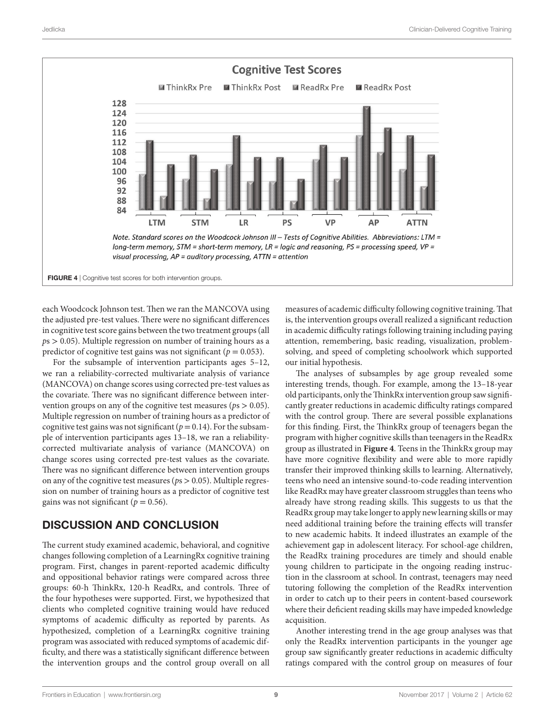

each Woodcock Johnson test. Then we ran the MANCOVA using the adjusted pre-test values. There were no significant differences in cognitive test score gains between the two treatment groups (all *p*s > 0.05). Multiple regression on number of training hours as a predictor of cognitive test gains was not significant ( $p = 0.053$ ).

For the subsample of intervention participants ages 5–12, we ran a reliability-corrected multivariate analysis of variance (MANCOVA) on change scores using corrected pre-test values as the covariate. There was no significant difference between intervention groups on any of the cognitive test measures (*p*s > 0.05). Multiple regression on number of training hours as a predictor of cognitive test gains was not significant ( $p = 0.14$ ). For the subsample of intervention participants ages 13–18, we ran a reliabilitycorrected multivariate analysis of variance (MANCOVA) on change scores using corrected pre-test values as the covariate. There was no significant difference between intervention groups on any of the cognitive test measures (*p*s > 0.05). Multiple regression on number of training hours as a predictor of cognitive test gains was not significant ( $p = 0.56$ ).

# DISCUSSION AND CONCLUSION

The current study examined academic, behavioral, and cognitive changes following completion of a LearningRx cognitive training program. First, changes in parent-reported academic difficulty and oppositional behavior ratings were compared across three groups: 60-h ThinkRx, 120-h ReadRx, and controls. Three of the four hypotheses were supported. First, we hypothesized that clients who completed cognitive training would have reduced symptoms of academic difficulty as reported by parents. As hypothesized, completion of a LearningRx cognitive training program was associated with reduced symptoms of academic difficulty, and there was a statistically significant difference between the intervention groups and the control group overall on all

<span id="page-8-0"></span>measures of academic difficulty following cognitive training. That is, the intervention groups overall realized a significant reduction in academic difficulty ratings following training including paying attention, remembering, basic reading, visualization, problemsolving, and speed of completing schoolwork which supported our initial hypothesis.

The analyses of subsamples by age group revealed some interesting trends, though. For example, among the 13–18-year old participants, only the ThinkRx intervention group saw significantly greater reductions in academic difficulty ratings compared with the control group. There are several possible explanations for this finding. First, the ThinkRx group of teenagers began the program with higher cognitive skills than teenagers in the ReadRx group as illustrated in **[Figure 4](#page-8-0)**. Teens in the ThinkRx group may have more cognitive flexibility and were able to more rapidly transfer their improved thinking skills to learning. Alternatively, teens who need an intensive sound-to-code reading intervention like ReadRx may have greater classroom struggles than teens who already have strong reading skills. This suggests to us that the ReadRx group may take longer to apply new learning skills or may need additional training before the training effects will transfer to new academic habits. It indeed illustrates an example of the achievement gap in adolescent literacy. For school-age children, the ReadRx training procedures are timely and should enable young children to participate in the ongoing reading instruction in the classroom at school. In contrast, teenagers may need tutoring following the completion of the ReadRx intervention in order to catch up to their peers in content-based coursework where their deficient reading skills may have impeded knowledge acquisition.

Another interesting trend in the age group analyses was that only the ReadRx intervention participants in the younger age group saw significantly greater reductions in academic difficulty ratings compared with the control group on measures of four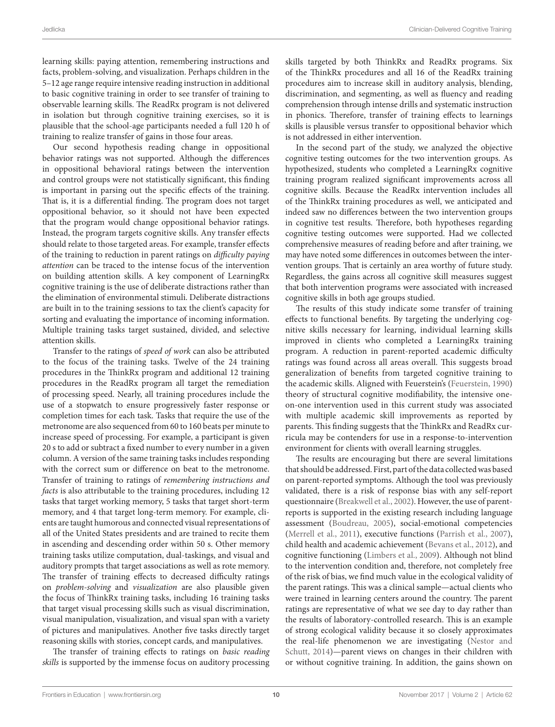learning skills: paying attention, remembering instructions and facts, problem-solving, and visualization. Perhaps children in the 5–12 age range require intensive reading instruction in additional to basic cognitive training in order to see transfer of training to observable learning skills. The ReadRx program is not delivered in isolation but through cognitive training exercises, so it is plausible that the school-age participants needed a full 120 h of training to realize transfer of gains in those four areas.

Our second hypothesis reading change in oppositional behavior ratings was not supported. Although the differences in oppositional behavioral ratings between the intervention and control groups were not statistically significant, this finding is important in parsing out the specific effects of the training. That is, it is a differential finding. The program does not target oppositional behavior, so it should not have been expected that the program would change oppositional behavior ratings. Instead, the program targets cognitive skills. Any transfer effects should relate to those targeted areas. For example, transfer effects of the training to reduction in parent ratings on *difficulty paying attention* can be traced to the intense focus of the intervention on building attention skills. A key component of LearningRx cognitive training is the use of deliberate distractions rather than the elimination of environmental stimuli. Deliberate distractions are built in to the training sessions to tax the client's capacity for sorting and evaluating the importance of incoming information. Multiple training tasks target sustained, divided, and selective attention skills.

Transfer to the ratings of *speed of work* can also be attributed to the focus of the training tasks. Twelve of the 24 training procedures in the ThinkRx program and additional 12 training procedures in the ReadRx program all target the remediation of processing speed. Nearly, all training procedures include the use of a stopwatch to ensure progressively faster response or completion times for each task. Tasks that require the use of the metronome are also sequenced from 60 to 160 beats per minute to increase speed of processing. For example, a participant is given 20 s to add or subtract a fixed number to every number in a given column. A version of the same training tasks includes responding with the correct sum or difference on beat to the metronome. Transfer of training to ratings of *remembering instructions and facts* is also attributable to the training procedures, including 12 tasks that target working memory, 5 tasks that target short-term memory, and 4 that target long-term memory. For example, clients are taught humorous and connected visual representations of all of the United States presidents and are trained to recite them in ascending and descending order within 50 s. Other memory training tasks utilize computation, dual-taskings, and visual and auditory prompts that target associations as well as rote memory. The transfer of training effects to decreased difficulty ratings on *problem-solving* and *visualization* are also plausible given the focus of ThinkRx training tasks, including 16 training tasks that target visual processing skills such as visual discrimination, visual manipulation, visualization, and visual span with a variety of pictures and manipulatives. Another five tasks directly target reasoning skills with stories, concept cards, and manipulatives.

The transfer of training effects to ratings on *basic reading skills* is supported by the immense focus on auditory processing

skills targeted by both ThinkRx and ReadRx programs. Six of the ThinkRx procedures and all 16 of the ReadRx training procedures aim to increase skill in auditory analysis, blending, discrimination, and segmenting, as well as fluency and reading comprehension through intense drills and systematic instruction in phonics. Therefore, transfer of training effects to learnings skills is plausible versus transfer to oppositional behavior which is not addressed in either intervention.

In the second part of the study, we analyzed the objective cognitive testing outcomes for the two intervention groups. As hypothesized, students who completed a LearningRx cognitive training program realized significant improvements across all cognitive skills. Because the ReadRx intervention includes all of the ThinkRx training procedures as well, we anticipated and indeed saw no differences between the two intervention groups in cognitive test results. Therefore, both hypotheses regarding cognitive testing outcomes were supported. Had we collected comprehensive measures of reading before and after training, we may have noted some differences in outcomes between the intervention groups. That is certainly an area worthy of future study. Regardless, the gains across all cognitive skill measures suggest that both intervention programs were associated with increased cognitive skills in both age groups studied.

The results of this study indicate some transfer of training effects to functional benefits. By targeting the underlying cognitive skills necessary for learning, individual learning skills improved in clients who completed a LearningRx training program. A reduction in parent-reported academic difficulty ratings was found across all areas overall. This suggests broad generalization of benefits from targeted cognitive training to the academic skills. Aligned with Feuerstein's ([Feuerstein, 1990\)](#page-11-6) theory of structural cognitive modifiability, the intensive oneon-one intervention used in this current study was associated with multiple academic skill improvements as reported by parents. This finding suggests that the ThinkRx and ReadRx curricula may be contenders for use in a response-to-intervention environment for clients with overall learning struggles.

The results are encouraging but there are several limitations that should be addressed. First, part of the data collected was based on parent-reported symptoms. Although the tool was previously validated, there is a risk of response bias with any self-report questionnaire ([Breakwell et al., 2002\)](#page-10-3). However, the use of parentreports is supported in the existing research including language assessment [\(Boudreau, 2005\)](#page-10-4), social-emotional competencies [\(Merrell et al., 2011\)](#page-11-38), executive functions ([Parrish et al., 2007](#page-11-39)), child health and academic achievement ([Bevans et al., 2012](#page-10-5)), and cognitive functioning ([Limbers et al., 2009](#page-11-40)). Although not blind to the intervention condition and, therefore, not completely free of the risk of bias, we find much value in the ecological validity of the parent ratings. This was a clinical sample—actual clients who were trained in learning centers around the country. The parent ratings are representative of what we see day to day rather than the results of laboratory-controlled research. This is an example of strong ecological validity because it so closely approximates the real-life phenomenon we are investigating ([Nestor and](#page-11-41)  [Schutt, 2014](#page-11-41))—parent views on changes in their children with or without cognitive training. In addition, the gains shown on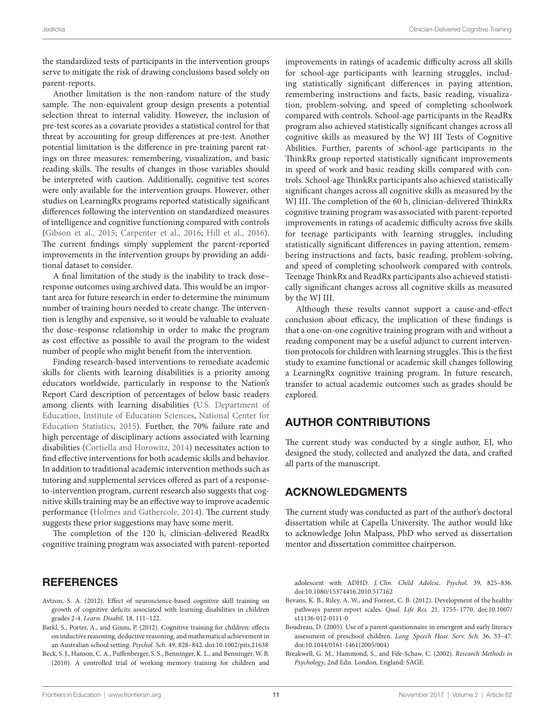the standardized tests of participants in the intervention groups serve to mitigate the risk of drawing conclusions based solely on parent-reports.

Another limitation is the non-random nature of the study sample. The non-equivalent group design presents a potential selection threat to internal validity. However, the inclusion of pre-test scores as a covariate provides a statistical control for that threat by accounting for group differences at pre-test. Another potential limitation is the difference in pre-training parent ratings on three measures: remembering, visualization, and basic reading skills. The results of changes in those variables should be interpreted with caution. Additionally, cognitive test scores were only available for the intervention groups. However, other studies on LearningRx programs reported statistically significant differences following the intervention on standardized measures of intelligence and cognitive functioning compared with controls ([Gibson et al., 2015;](#page-11-10) [Carpenter et al., 2016;](#page-11-12) [Hill et al., 2016\)](#page-11-42). The current findings simply supplement the parent-reported improvements in the intervention groups by providing an additional dataset to consider.

A final limitation of the study is the inability to track dose– response outcomes using archived data. This would be an important area for future research in order to determine the minimum number of training hours needed to create change. The intervention is lengthy and expensive, so it would be valuable to evaluate the dose–response relationship in order to make the program as cost effective as possible to avail the program to the widest number of people who might benefit from the intervention.

Finding research-based interventions to remediate academic skills for clients with learning disabilities is a priority among educators worldwide, particularly in response to the Nation's Report Card description of percentages of below basic readers among clients with learning disabilities (U.S. Department of Education, Institute of Education Sciences, National Center for Education Statistics, [2015](#page-11-1)). Further, the 70% failure rate and high percentage of disciplinary actions associated with learning disabilities ([Cortiella and Horowitz, 2014\)](#page-11-0) necessitates action to find effective interventions for both academic skills and behavior. In addition to traditional academic intervention methods such as tutoring and supplemental services offered as part of a responseto-intervention program, current research also suggests that cognitive skills training may be an effective way to improve academic performance ([Holmes and Gathercole, 2014](#page-11-3)). The current study suggests these prior suggestions may have some merit.

The completion of the 120 h, clinician-delivered ReadRx cognitive training program was associated with parent-reported

## REFERENCES

- <span id="page-10-0"></span>Avtzon, S. A. (2012). Effect of neuroscience-based cognitive skill training on growth of cognitive deficits associated with learning disabilities in children grades 2-4. *Learn. Disabil.* 18, 111–122.
- <span id="page-10-1"></span>Barkl, S., Porter, A., and Ginns, P. (2012). Cognitive training for children: effects on inductive reasoning, deductive reasoning, and mathematical achievement in an Australian school setting. *Psychol. Sch.* 49, 828–842. doi:[10.1002/pits.21638](https://doi.org/10.1002/pits.21638)
- <span id="page-10-2"></span>Beck, S. J., Hanson, C. A., Puffenberger, S. S., Benninger, K. L., and Benninger, W. B. (2010). A controlled trial of working memory training for children and

improvements in ratings of academic difficulty across all skills for school-age participants with learning struggles, including statistically significant differences in paying attention, remembering instructions and facts, basic reading, visualization, problem-solving, and speed of completing schoolwork compared with controls. School-age participants in the ReadRx program also achieved statistically significant changes across all cognitive skills as measured by the WJ III Tests of Cognitive Abilities. Further, parents of school-age participants in the ThinkRx group reported statistically significant improvements in speed of work and basic reading skills compared with controls. School-age ThinkRx participants also achieved statistically significant changes across all cognitive skills as measured by the WJ III. The completion of the 60 h, clinician-delivered ThinkRx cognitive training program was associated with parent-reported improvements in ratings of academic difficulty across five skills for teenage participants with learning struggles, including statistically significant differences in paying attention, remembering instructions and facts, basic reading, problem-solving, and speed of completing schoolwork compared with controls. Teenage ThinkRx and ReadRx participants also achieved statistically significant changes across all cognitive skills as measured by the WJ III.

Although these results cannot support a cause-and-effect conclusion about efficacy, the implication of these findings is that a one-on-one cognitive training program with and without a reading component may be a useful adjunct to current intervention protocols for children with learning struggles. This is the first study to examine functional or academic skill changes following a LearningRx cognitive training program. In future research, transfer to actual academic outcomes such as grades should be explored.

# AUTHOR CONTRIBUTIONS

The current study was conducted by a single author, EJ, who designed the study, collected and analyzed the data, and crafted all parts of the manuscript.

## ACKNOWLEDGMENTS

The current study was conducted as part of the author's doctoral dissertation while at Capella University. The author would like to acknowledge John Malpass, PhD who served as dissertation mentor and dissertation committee chairperson.

adolescent with ADHD. *J. Clin. Child Adolesc. Psychol.* 39, 825–836. doi[:10.1080/15374416.2010.517162](https://doi.org/10.1080/15374416.2010.517162)

- <span id="page-10-5"></span>Bevans, K. B., Riley, A. W., and Forrest, C. B. (2012). Development of the healthy pathways parent-report scales. *Qual. Life Res.* 21, 1755–1770. doi[:10.1007/](https://doi.org/10.1007/s11136-012-0111-0) [s11136-012-0111-0](https://doi.org/10.1007/s11136-012-0111-0)
- <span id="page-10-4"></span>Boudreau, D. (2005). Use of a parent questionnaire in emergent and early literacy assessment of preschool children. *Lang. Speech Hear. Serv. Sch.* 36, 33–47. doi[:10.1044/0161-1461\(2005/004\)](https://doi.org/10.1044/0161-1461(2005/004))
- <span id="page-10-3"></span>Breakwell, G. M., Hammond, S., and Fife-Schaw, C. (2002). *Research Methods in Psychology*, 2nd Edn. London, England: SAGE.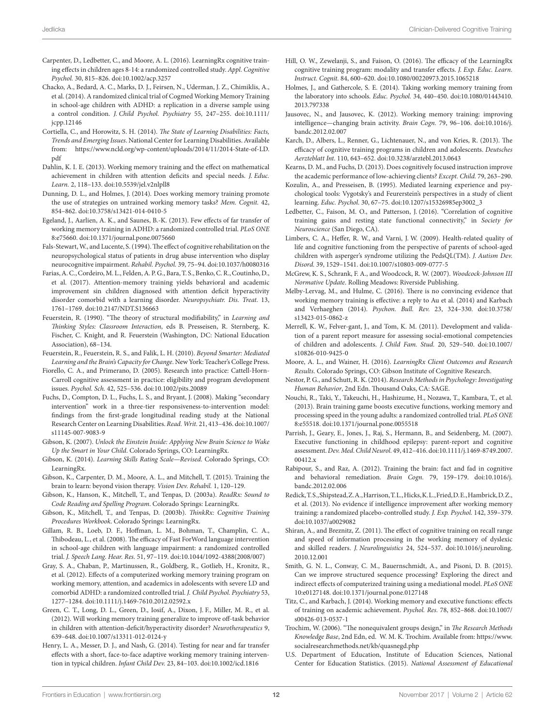- <span id="page-11-12"></span>Carpenter, D., Ledbetter, C., and Moore, A. L. (2016). LearningRx cognitive training effects in children ages 8-14: a randomized controlled study. *Appl. Cognitive Psychol.* 30, 815–826. doi[:10.1002/acp.3257](https://doi.org/10.1002/acp.3257)
- <span id="page-11-28"></span>Chacko, A., Bedard, A. C., Marks, D. J., Feirsen, N., Uderman, J. Z., Chimiklis, A., et al. (2014). A randomized clinical trial of Cogmed Working Memory Training in school-age children with ADHD: a replication in a diverse sample using a control condition. *J. Child Psychol. Psychiatry* 55, 247–255. doi[:10.1111/](https://doi.org/10.1111/jcpp.12146) [jcpp.12146](https://doi.org/10.1111/jcpp.12146)
- <span id="page-11-0"></span>Cortiella, C., and Horowitz, S. H. (2014). *The State of Learning Disabilities: Facts, Trends and Emerging Issues*. National Center for Learning Disabilities. Available from: [https://www.ncld.org/wp-content/uploads/2014/11/2014-State-of-LD.](https://www.ncld.org/wp-content/uploads/2014/11/2014-State-of-LD.pdf) [pdf](https://www.ncld.org/wp-content/uploads/2014/11/2014-State-of-LD.pdf)
- <span id="page-11-9"></span>Dahlin, K. I. E. (2013). Working memory training and the effect on mathematical achievement in children with attention deficits and special needs. *J. Educ. Learn.* 2, 118–133. doi[:10.5539/jel.v2nlpll8](https://doi.org/10.5539/jel.v2nlpll8)
- <span id="page-11-19"></span>Dunning, D. L., and Holmes, J. (2014). Does working memory training promote the use of strategies on untrained working memory tasks? *Mem. Cognit.* 42, 854–862. doi:[10.3758/s13421-014-0410-5](https://doi.org/10.3758/s13421-014-0410-5)
- <span id="page-11-27"></span>Egeland, J., Aarlien, A. K., and Saunes, B.-K. (2013). Few effects of far transfer of working memory training in ADHD: a randomized controlled trial. *PLoS ONE* 8:e75660. doi:[10.1371/journal.pone.0075660](https://doi.org/10.1371/journal.pone.0075660)
- <span id="page-11-24"></span>Fals-Stewart, W., and Lucente, S. (1994). The effect of cognitive rehabilitation on the neuropsychological status of patients in drug abuse intervention who display neurocognitive impairment. *Rehabil. Psychol.* 39, 75–94. doi[:10.1037/h0080316](https://doi.org/10.1037/h0080316)
- <span id="page-11-25"></span>Farias, A. C., Cordeiro, M. L., Felden, A. P. G., Bara, T. S., Benko, C. R., Coutinho, D., et al. (2017). Attention-memory training yields behavioral and academic improvement sin children diagnosed with attention deficit hyperactivity disorder comorbid with a learning disorder. *Neuropsychiatr. Dis. Treat.* 13, 1761–1769. doi:[10.2147/NDT.S136663](https://doi.org/10.2147/NDT.S136663)
- <span id="page-11-6"></span>Feuerstein, R. (1990). "The theory of structural modifiability," in *Learning and Thinking Styles: Classroom Interaction*, eds B. Presseisen, R. Sternberg, K. Fischer, C. Knight, and R. Feuerstein (Washington, DC: National Education Association), 68–134.
- <span id="page-11-5"></span>Feuerstein, R., Feuerstein, R. S., and Falik, L. H. (2010). *Beyond Smarter: Mediated Learning and the Brain's Capacity for Change*. New York: Teacher's College Press.
- <span id="page-11-17"></span>Fiorello, C. A., and Primerano, D. (2005). Research into practice: Cattell-Horn-Carroll cognitive assessment in practice: eligibility and program development issues. *Psychol. Sch.* 42, 525–536. doi:[10.1002/pits.20089](https://doi.org/10.1002/pits.20089)
- <span id="page-11-2"></span>Fuchs, D., Compton, D. L., Fuchs, L. S., and Bryant, J. (2008). Making "secondary intervention" work in a three-tier responsiveness-to-intervention model: findings from the first-grade longitudinal reading study at the National Research Center on Learning Disabilities. *Read. Writ.* 21, 413–436. doi[:10.1007/](https://doi.org/10.1007/s11145-007-9083-9) [s11145-007-9083-9](https://doi.org/10.1007/s11145-007-9083-9)
- <span id="page-11-34"></span>Gibson, K. (2007). *Unlock the Einstein Inside: Applying New Brain Science to Wake Up the Smart in Your Child*. Colorado Springs, CO: LearningRx.
- <span id="page-11-35"></span>Gibson, K. (2014). *Learning Skills Rating Scale—Revised*. Colorado Springs, CO: LearningRx.
- <span id="page-11-10"></span>Gibson, K., Carpenter, D. M., Moore, A. L., and Mitchell, T. (2015). Training the brain to learn: beyond vision therapy. *Vision Dev. Rehabil.* 1, 120–129.
- <span id="page-11-33"></span>Gibson, K., Hanson, K., Mitchell, T., and Tenpas, D. (2003a). *ReadRx: Sound to Code Reading and Spelling Program*. Colorado Springs: LearningRx.
- <span id="page-11-32"></span>Gibson, K., Mitchell, T., and Tenpas, D. (2003b). *ThinkRx: Cognitive Training Procedures Workbook*. Colorado Springs: LearningRx.
- <span id="page-11-21"></span>Gillam, R. B., Loeb, D. F., Hoffman, L. M., Bohman, T., Champlin, C. A., Thibodeau, L., et al. (2008). The efficacy of Fast ForWord language intervention in school-age children with language impairment: a randomized controlled trial. *J. Speech Lang. Hear. Res.* 51, 97–119. doi[:10.1044/1092-4388\(2008/007\)](https://doi.org/10.1044/1092-4388(2008/007))
- <span id="page-11-26"></span>Gray, S. A., Chaban, P., Martinussen, R., Goldberg, R., Gotlieb, H., Kronitz, R., et al. (2012). Effects of a computerized working memory training program on working memory, attention, and academics in adolescents with severe LD and comorbid ADHD: a randomized controlled trial. *J. Child Psychol. Psychiatry* 53, 1277–1284. doi:[10.1111/j.1469-7610.2012.02592.x](https://doi.org/10.1111/j.1469-7610.2012.02592.x)
- <span id="page-11-29"></span>Green, C. T., Long, D. L., Green, D., Iosif, A., Dixon, J. F., Miller, M. R., et al. (2012). Will working memory training generalize to improve off-task behavior in children with attention-deficit/hyperactivity disorder? *Neurotherapeutics* 9, 639–648. doi:[10.1007/s13311-012-0124-y](https://doi.org/10.1007/s13311-012-0124-y)
- <span id="page-11-22"></span>Henry, L. A., Messer, D. J., and Nash, G. (2014). Testing for near and far transfer effects with a short, face-to-face adaptive working memory training intervention in typical children. *Infant Child Dev.* 23, 84–103. doi:[10.1002/icd.1816](https://doi.org/10.1002/icd.1816)
- <span id="page-11-42"></span>Hill, O. W., Zewelanji, S., and Faison, O. (2016). The efficacy of the LearningRx cognitive training program: modality and transfer effects. *J. Exp. Educ. Learn. Instruct. Cognit.* 84, 600–620. doi[:10.1080/00220973.2015.1065218](https://doi.org/10.1080/00220973.2015.1065218)
- <span id="page-11-3"></span>Holmes, J., and Gathercole, S. E. (2014). Taking working memory training from the laboratory into schools. *Educ. Psychol.* 34, 440–450. doi:[10.1080/01443410.](https://doi.org/10.1080/01443410.2013.797338) [2013.797338](https://doi.org/10.1080/01443410.2013.797338)
- <span id="page-11-11"></span>Jausovec, N., and Jausovec, K. (2012). Working memory training: improving intelligence—changing brain activity. *Brain Cogn.* 79, 96–106. doi:[10.1016/j.](https://doi.org/10.1016/j.bandc.2012.02.007) [bandc.2012.02.007](https://doi.org/10.1016/j.bandc.2012.02.007)
- <span id="page-11-13"></span>Karch, D., Albers, L., Renner, G., Lichtenauer, N., and von Kries, R. (2013). The efficacy of cognitive training programs in children and adolescents. *Deutsches Aerzteblatt Int.* 110, 643–652. doi[:10.3238/arztebl.2013.0643](https://doi.org/10.3238/arztebl.2013.0643)
- <span id="page-11-16"></span>Kearns, D. M., and Fuchs, D. (2013). Does cognitively focused instruction improve the academic performance of low-achieving clients? *Except. Child.* 79, 263–290.
- <span id="page-11-4"></span>Kozulin, A., and Presseisen, B. (1995). Mediated learning experience and psychological tools: Vygotsky's and Feurerstein's perspectives in a study of client learning. *Educ. Psychol.* 30, 67–75. doi[:10.1207/s15326985ep3002\\_3](https://doi.org/10.1207/s15326985ep3002_3)
- <span id="page-11-31"></span>Ledbetter, C., Faison, M. O., and Patterson, J. (2016). "Correlation of cognitive training gains and resting state functional connectivity," in *Society for Neuroscience* (San Diego, CA).
- <span id="page-11-40"></span>Limbers, C. A., Heffer, R. W., and Varni, J. W. (2009). Health-related quality of life and cognitive functioning from the perspective of parents of school-aged children with asperger's syndrome utilizing the PedsQL(TM). *J. Autism Dev. Disord.* 39, 1529–1541. doi[:10.1007/s10803-009-0777-5](https://doi.org/10.1007/s10803-009-0777-5)
- <span id="page-11-36"></span>McGrew, K. S., Schrank, F. A., and Woodcock, R. W. (2007). *Woodcock-Johnson III Normative Update*. Rolling Meadows: Riverside Publishing.
- <span id="page-11-15"></span>Melby-Lervag, M., and Hulme, C. (2016). There is no convincing evidence that working memory training is effective: a reply to Au et al. (2014) and Karbach and Verhaeghen (2014). *Psychon. Bull. Rev.* 23, 324–330. doi[:10.3758/](https://doi.org/10.3758/s13423-015-0862-z) [s13423-015-0862-z](https://doi.org/10.3758/s13423-015-0862-z)
- <span id="page-11-38"></span>Merrell, K. W., Felver-gant, J., and Tom, K. M. (2011). Development and validation of a parent report measure for assessing social-emotional competencies of children and adolescents. *J. Child Fam. Stud.* 20, 529–540. doi[:10.1007/](https://doi.org/10.1007/s10826-010-9425-0) [s10826-010-9425-0](https://doi.org/10.1007/s10826-010-9425-0)
- <span id="page-11-30"></span>Moore, A. L., and Wainer, H. (2016). *LearningRx Client Outcomes and Research Results*. Colorado Springs, CO: Gibson Institute of Cognitive Research.
- <span id="page-11-41"></span>Nestor, P. G., and Schutt, R. K. (2014). *Research Methods in Psychology: Investigating Human Behavior*, 2nd Edn. Thousand Oaks, CA: SAGE.
- <span id="page-11-7"></span>Nouchi, R., Taki, Y., Takeuchi, H., Hashizume, H., Nozawa, T., Kambara, T., et al. (2013). Brain training game boosts executive functions, working memory and processing speed in the young adults: a randomized controlled trial. *PLoS ONE* 8:e55518. doi[:10.1371/journal.pone.0055518](https://doi.org/10.1371/journal.pone.0055518)
- <span id="page-11-39"></span>Parrish, J., Geary, E., Jones, J., Raj, S., Hermann, B., and Seidenberg, M. (2007). Executive functioning in childhood epilepsy: parent-report and cognitive assessment. *Dev. Med. Child Neurol.* 49, 412–416. doi[:10.1111/j.1469-8749.2007.](https://doi.org/10.1111/j.1469-8749.2007.00412.x) [00412.x](https://doi.org/10.1111/j.1469-8749.2007.00412.x)
- <span id="page-11-23"></span>Rabipour, S., and Raz, A. (2012). Training the brain: fact and fad in cognitive and behavioral remediation. *Brain Cogn.* 79, 159–179. doi:[10.1016/j.](https://doi.org/10.1016/j.bandc.2012.02.006) [bandc.2012.02.006](https://doi.org/10.1016/j.bandc.2012.02.006)
- <span id="page-11-14"></span>Redick, T. S., Shipstead, Z. A., Harrison, T. L., Hicks, K. L., Fried, D. E., Hambrick, D. Z., et al. (2013). No evidence if intelligence improvement after working memory training: a randomized placebo-controlled study. *J. Exp. Psychol.* 142, 359–379. doi[:10.1037/a0029082](https://doi.org/10.1037/a0029082)
- <span id="page-11-18"></span>Shiran, A., and Breznitz, Z. (2011). The effect of cognitive training on recall range and speed of information processing in the working memory of dyslexic and skilled readers. *J. Neurolinguistics* 24, 524–537. doi:[10.1016/j.neuroling.](https://doi.org/10.1016/j.neuroling.
2010.12.001) [2010.12.001](https://doi.org/10.1016/j.neuroling.
2010.12.001)
- <span id="page-11-8"></span>Smith, G. N. L., Conway, C. M., Bauernschmidt, A., and Pisoni, D. B. (2015). Can we improve structured sequence processing? Exploring the direct and indirect effects of computerized training using a mediational model. *PLoS ONE* 10:e0127148. doi[:10.1371/journal.pone.0127148](https://doi.org/10.1371/journal.pone.0127148)
- <span id="page-11-20"></span>Titz, C., and Karbach, J. (2014). Working memory and executive functions: effects of training on academic achievement. *Psychol. Res.* 78, 852–868. doi[:10.1007/](https://doi.org/10.1007/s00426-013-0537-1) [s00426-013-0537-1](https://doi.org/10.1007/s00426-013-0537-1)
- <span id="page-11-37"></span>Trochim, W. (2006). "The nonequivalent groups design," in *The Research Methods Knowledge Base*, 2nd Edn, ed. W. M. K. Trochim. Available from: [https://www.](https://www.socialresearchmethods.net/kb/quasnegd.php) [socialresearchmethods.net/kb/quasnegd.php](https://www.socialresearchmethods.net/kb/quasnegd.php)
- <span id="page-11-1"></span>U.S. Department of Education, Institute of Education Sciences, National Center for Education Statistics. (2015). *National Assessment of Educational*